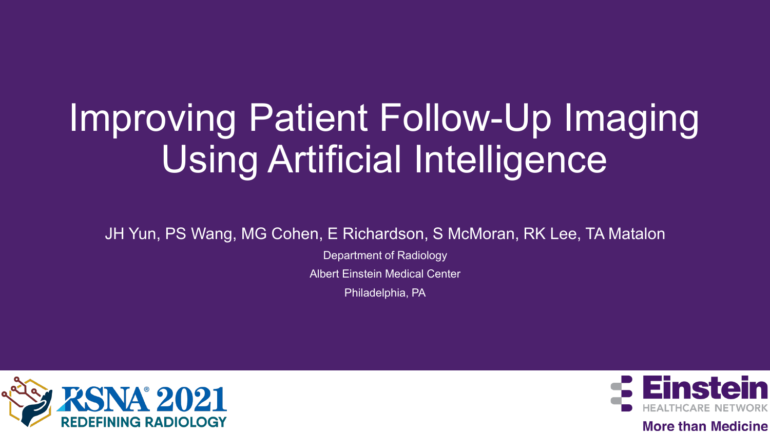# Improving Patient Follow-Up Imaging Using Artificial Intelligence

JH Yun, PS Wang, MG Cohen, E Richardson, S McMoran, RK Lee, TA Matalon

Department of Radiology

Albert Einstein Medical Center

Philadelphia, PA





**More than Medicine**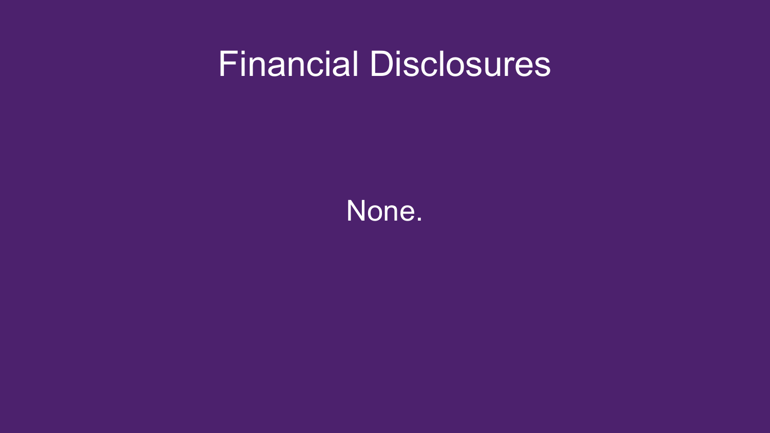#### Financial Disclosures

None.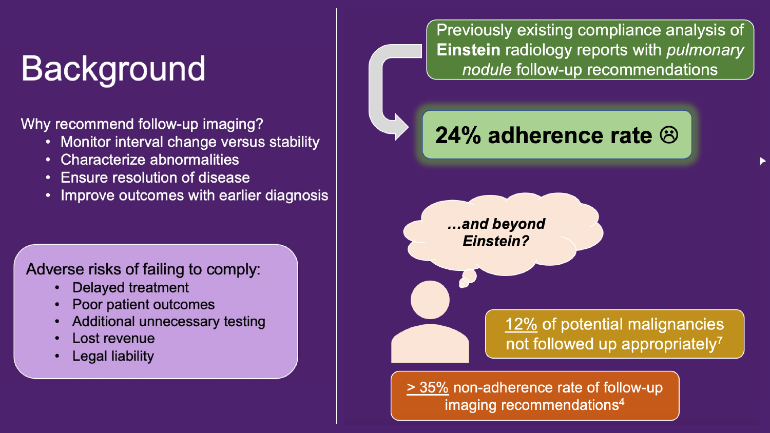## Background

Why recommend follow-up imaging?

- Monitor interval change versus stability
- Characterize abnormalities
- Ensure resolution of disease  $\bullet$
- Improve outcomes with earlier diagnosis  $\bullet$

Adverse risks of failing to comply:

- $\cdot$  Delayed treatment
- 
- Poor patient outcomes<br>Additional unnecessary testing
- Lost revenue
- $\mathsf{Log}$  and  $\mathsf{Log}$  for  $\mathsf{Mod}$

Previously existing compliance analysis of **Einstein radiology reports with pulmonary** nodule follow-up recommendations

24% adherence rate  $\otimes$ 

...and beyond **Einstein?** 

> 12% of potential malignancies not followed up appropriately<sup>7</sup>

> 35% non-adherence rate of follow-up imaging recommendations<sup>4</sup>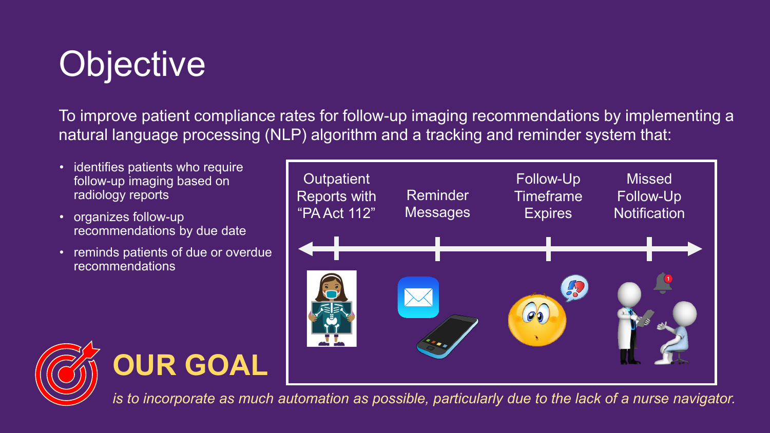## **Objective**

To improve patient compliance rates for follow-up imaging recommendations by implementing a natural language processing (NLP) algorithm and a tracking and reminder system that:

- identifies patients who require follow-up imaging based on radiology reports
- organizes follow-up recommendations by due date
- reminds patients of due or overdue recommendations







*is to incorporate as much automation as possible, particularly due to the lack of a nurse navigator.*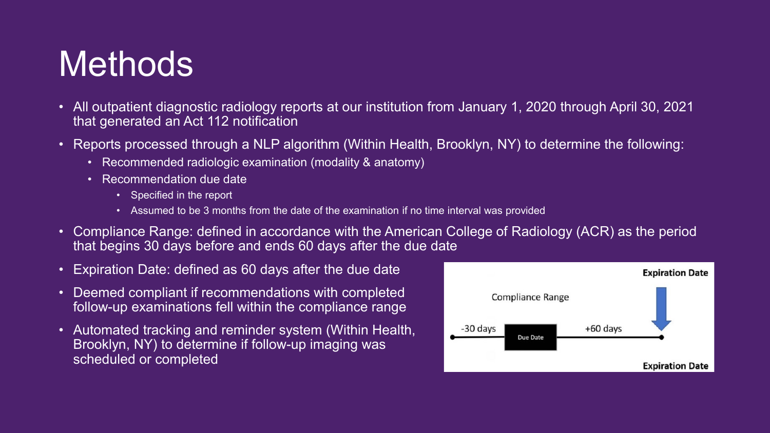#### **Methods**

- All outpatient diagnostic radiology reports at our institution from January 1, 2020 through April 30, 2021 that generated an Act 112 notification
- Reports processed through a NLP algorithm (Within Health, Brooklyn, NY) to determine the following:
	- Recommended radiologic examination (modality & anatomy)
	- Recommendation due date
		- Specified in the report
		- Assumed to be 3 months from the date of the examination if no time interval was provided
- Compliance Range: defined in accordance with the American College of Radiology (ACR) as the period that begins 30 days before and ends 60 days after the due date
- Expiration Date: defined as 60 days after the due date
- Deemed compliant if recommendations with completed follow-up examinations fell within the compliance range
- Automated tracking and reminder system (Within Health, Brooklyn, NY) to determine if follow-up imaging was scheduled or completed

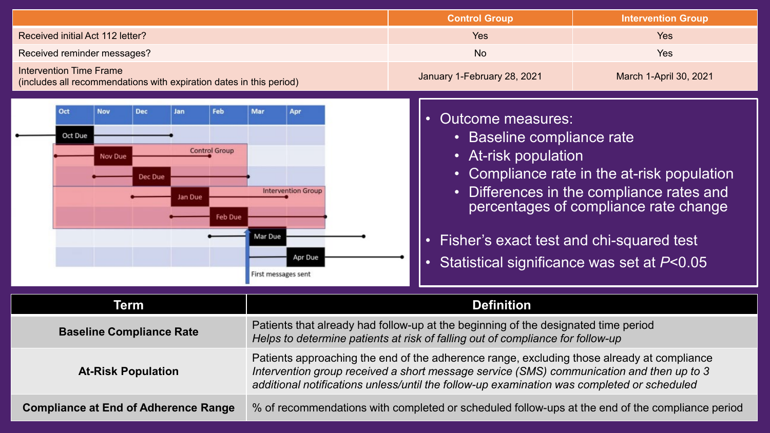|                                                                                                                              |                                                                                                                                                                                                                                                                                      | <b>Control Group</b>                                                                                                                                                                                                                                                                                                                                                            | <b>Intervention Group</b> |
|------------------------------------------------------------------------------------------------------------------------------|--------------------------------------------------------------------------------------------------------------------------------------------------------------------------------------------------------------------------------------------------------------------------------------|---------------------------------------------------------------------------------------------------------------------------------------------------------------------------------------------------------------------------------------------------------------------------------------------------------------------------------------------------------------------------------|---------------------------|
| Received initial Act 112 letter?                                                                                             |                                                                                                                                                                                                                                                                                      | <b>Yes</b>                                                                                                                                                                                                                                                                                                                                                                      | Yes                       |
| Received reminder messages?                                                                                                  |                                                                                                                                                                                                                                                                                      | <b>No</b>                                                                                                                                                                                                                                                                                                                                                                       | Yes                       |
| <b>Intervention Time Frame</b><br>(includes all recommendations with expiration dates in this period)                        |                                                                                                                                                                                                                                                                                      | January 1-February 28, 2021                                                                                                                                                                                                                                                                                                                                                     | March 1-April 30, 2021    |
| Oct<br><b>Nov</b><br>Feb<br><b>Dec</b><br>Jan<br>Oct Due<br><b>Control Group</b><br>Nov Due<br>Dec Due<br>Ian Due<br>Feb Due | Mar<br>Apr<br><b>Intervention Group</b><br>Mar Due<br>Apr Due<br>First messages sent                                                                                                                                                                                                 | <b>Outcome measures:</b><br>$\bullet$<br><b>Baseline compliance rate</b><br>$\bullet$<br>• At-risk population<br>Compliance rate in the at-risk population<br>$\bullet$<br>Differences in the compliance rates and<br>$\bullet$<br>percentages of compliance rate change<br>Fisher's exact test and chi-squared test<br>Statistical significance was set at P<0.05<br>$\bullet$ |                           |
| <b>Term</b>                                                                                                                  | <b>Definition</b>                                                                                                                                                                                                                                                                    |                                                                                                                                                                                                                                                                                                                                                                                 |                           |
| <b>Baseline Compliance Rate</b>                                                                                              | Patients that already had follow-up at the beginning of the designated time period<br>Helps to determine patients at risk of falling out of compliance for follow-up                                                                                                                 |                                                                                                                                                                                                                                                                                                                                                                                 |                           |
| <b>At-Risk Population</b>                                                                                                    | Patients approaching the end of the adherence range, excluding those already at compliance<br>Intervention group received a short message service (SMS) communication and then up to 3<br>additional notifications unless/until the follow-up examination was completed or scheduled |                                                                                                                                                                                                                                                                                                                                                                                 |                           |
| <b>Compliance at End of Adherence Range</b>                                                                                  | % of recommendations with completed or scheduled follow-ups at the end of the compliance period                                                                                                                                                                                      |                                                                                                                                                                                                                                                                                                                                                                                 |                           |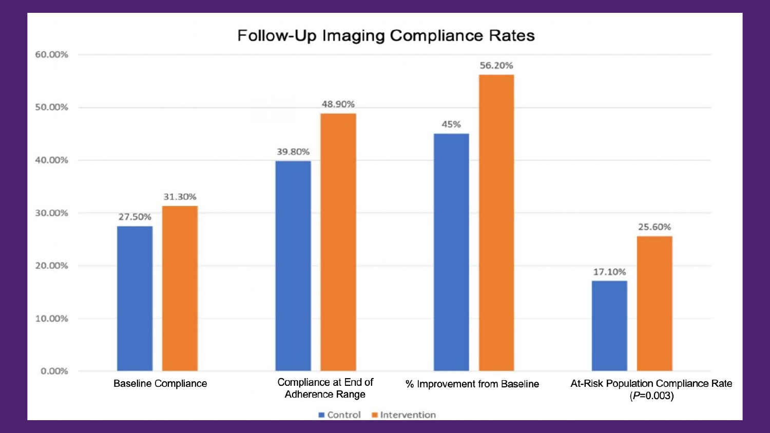#### Follow-Up Imaging Compliance Rates



Intervention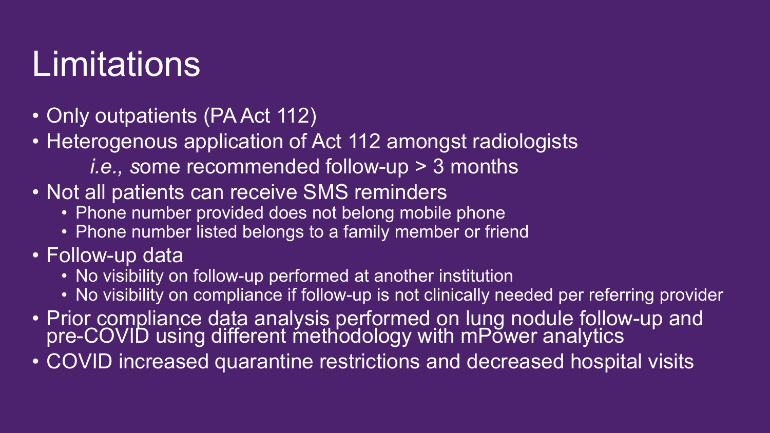### Limitations

- Only outpatients (PA Act 112)
- Heterogenous application of Act 112 amongst radiologists
	- *i.e., s*ome recommended follow-up > 3 months
- Not all patients can receive SMS reminders
	- Phone number provided does not belong mobile phone
	- Phone number listed belongs to a family member or friend
- Follow-up data
	- No visibility on follow-up performed at another institution
	- No visibility on compliance if follow-up is not clinically needed per referring provider
- Prior compliance data analysis performed on lung nodule follow-up and pre-COVID using different methodology with mPower analytics
- COVID increased quarantine restrictions and decreased hospital visits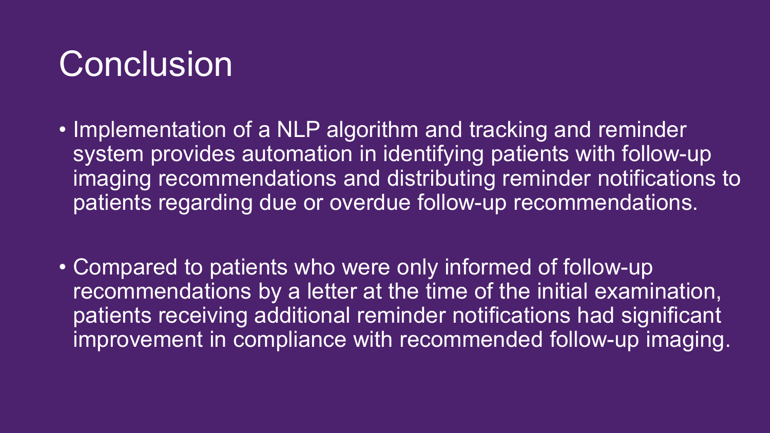#### **Conclusion**

- Implementation of a NLP algorithm and tracking and reminder system provides automation in identifying patients with follow-up imaging recommendations and distributing reminder notifications to patients regarding due or overdue follow-up recommendations.
- Compared to patients who were only informed of follow-up recommendations by a letter at the time of the initial examination, patients receiving additional reminder notifications had significant improvement in compliance with recommended follow-up imaging.